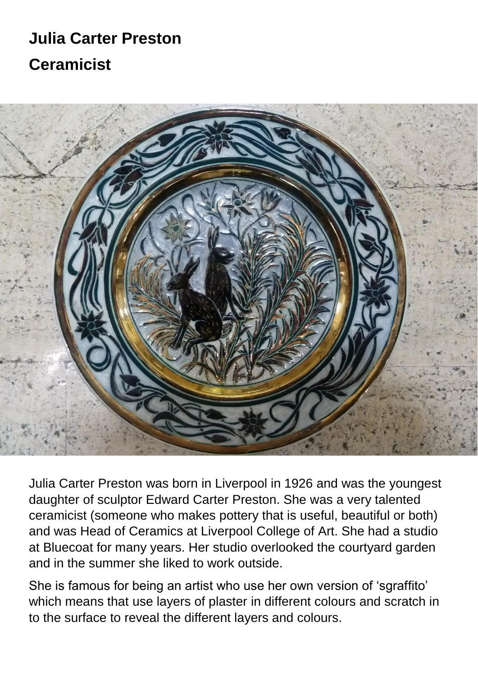# **Julia Carter Preston Ceramicist**



Julia Carter Preston was born in Liverpool in 1926 and was the youngest daughter of sculptor Edward Carter Preston. She was a very talented ceramicist (someone who makes pottery that is useful, beautiful or both) and was Head of Ceramics at Liverpool College of Art. She had a studio at Bluecoat for many years. Her studio overlooked the courtyard garden and in the summer she liked to work outside.

She is famous for being an artist who use her own version of 'sgraffito' which means that use layers of plaster in different colours and scratch in to the surface to reveal the different layers and colours.